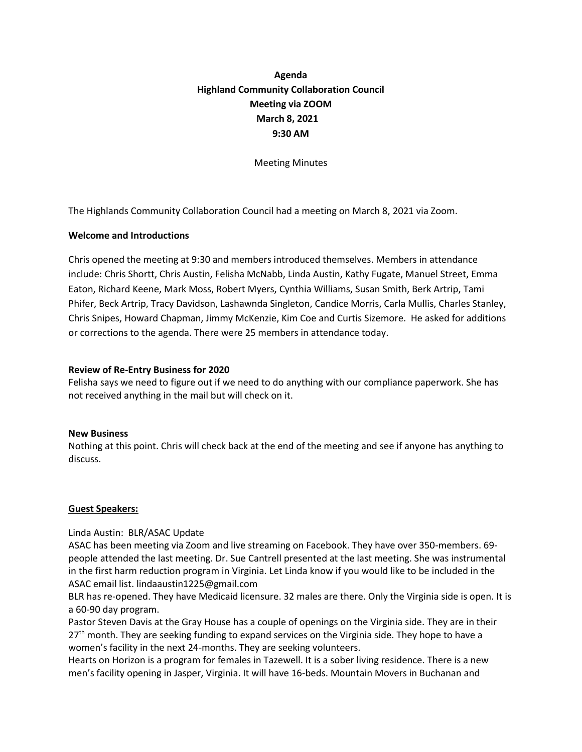# **Agenda Highland Community Collaboration Council Meeting via ZOOM March 8, 2021 9:30 AM**

Meeting Minutes

The Highlands Community Collaboration Council had a meeting on March 8, 2021 via Zoom.

### **Welcome and Introductions**

Chris opened the meeting at 9:30 and members introduced themselves. Members in attendance include: Chris Shortt, Chris Austin, Felisha McNabb, Linda Austin, Kathy Fugate, Manuel Street, Emma Eaton, Richard Keene, Mark Moss, Robert Myers, Cynthia Williams, Susan Smith, Berk Artrip, Tami Phifer, Beck Artrip, Tracy Davidson, Lashawnda Singleton, Candice Morris, Carla Mullis, Charles Stanley, Chris Snipes, Howard Chapman, Jimmy McKenzie, Kim Coe and Curtis Sizemore. He asked for additions or corrections to the agenda. There were 25 members in attendance today.

#### **Review of Re-Entry Business for 2020**

Felisha says we need to figure out if we need to do anything with our compliance paperwork. She has not received anything in the mail but will check on it.

#### **New Business**

Nothing at this point. Chris will check back at the end of the meeting and see if anyone has anything to discuss.

#### **Guest Speakers:**

## Linda Austin: BLR/ASAC Update

ASAC has been meeting via Zoom and live streaming on Facebook. They have over 350-members. 69 people attended the last meeting. Dr. Sue Cantrell presented at the last meeting. She was instrumental in the first harm reduction program in Virginia. Let Linda know if you would like to be included in the ASAC email list. lindaaustin1225@gmail.com

BLR has re-opened. They have Medicaid licensure. 32 males are there. Only the Virginia side is open. It is a 60-90 day program.

Pastor Steven Davis at the Gray House has a couple of openings on the Virginia side. They are in their 27<sup>th</sup> month. They are seeking funding to expand services on the Virginia side. They hope to have a women's facility in the next 24-months. They are seeking volunteers.

Hearts on Horizon is a program for females in Tazewell. It is a sober living residence. There is a new men's facility opening in Jasper, Virginia. It will have 16-beds. Mountain Movers in Buchanan and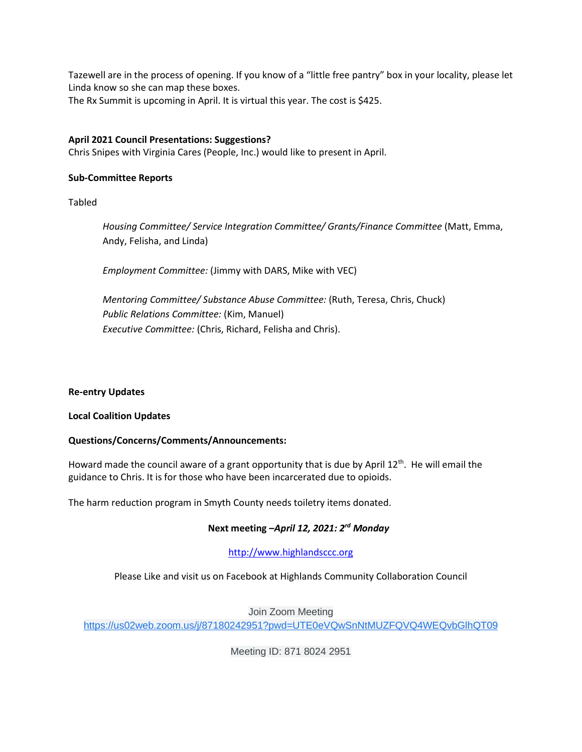Tazewell are in the process of opening. If you know of a "little free pantry" box in your locality, please let Linda know so she can map these boxes. The Rx Summit is upcoming in April. It is virtual this year. The cost is \$425.

## **April 2021 Council Presentations: Suggestions?**

Chris Snipes with Virginia Cares (People, Inc.) would like to present in April.

#### **Sub-Committee Reports**

Tabled

*Housing Committee/ Service Integration Committee/ Grants/Finance Committee* (Matt, Emma, Andy, Felisha, and Linda)

*Employment Committee:* (Jimmy with DARS, Mike with VEC)

*Mentoring Committee/ Substance Abuse Committee:* (Ruth, Teresa, Chris, Chuck) *Public Relations Committee:* (Kim, Manuel) *Executive Committee:* (Chris, Richard, Felisha and Chris).

#### **Re-entry Updates**

#### **Local Coalition Updates**

#### **Questions/Concerns/Comments/Announcements:**

Howard made the council aware of a grant opportunity that is due by April 12<sup>th</sup>. He will email the guidance to Chris. It is for those who have been incarcerated due to opioids.

The harm reduction program in Smyth County needs toiletry items donated.

## **Next meeting –***April 12, 2021: 2rd Monday*

## [http://www.highlandsccc.org](http://www.highlandsccc.org/)

Please Like and visit us on Facebook at Highlands Community Collaboration Council

Join Zoom Meeting

[https://us02web.zoom.us/j/87180242951?pwd=UTE0eVQwSnNtMUZFQVQ4WEQvbGlhQT09](https://www.google.com/url?q=https://us02web.zoom.us/j/87180242951?pwd%3DUTE0eVQwSnNtMUZFQVQ4WEQvbGlhQT09&sa=D&source=calendar&usd=2&usg=AOvVaw21W1KXsp3kaJDolFCsnOq_)

Meeting ID: 871 8024 2951